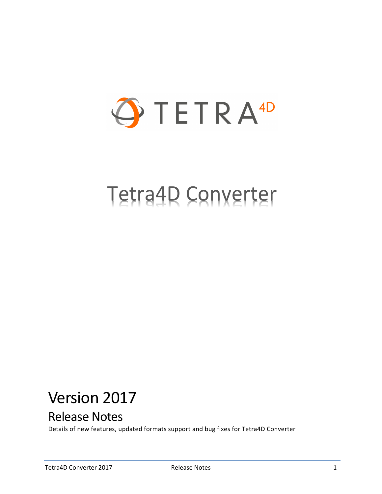

# Tetra4D Converter

# Version 2017

# Release Notes

Details of new features, updated formats support and bug fixes for Tetra4D Converter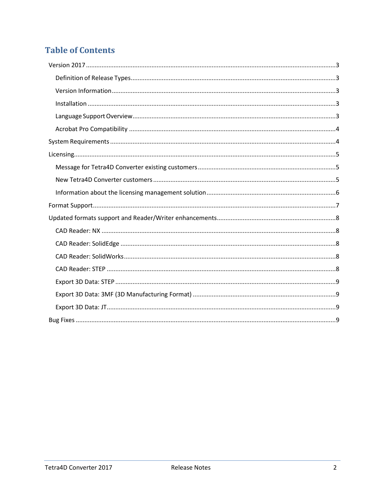# **Table of Contents**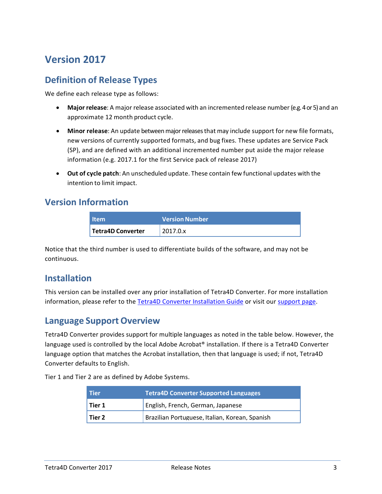# <span id="page-2-0"></span>**Version 2017**

#### <span id="page-2-1"></span>**Definition of Release Types**

We define each release type as follows:

- **Major release**: A major release associated with an incremented release number (e.g. 4or 5) and an approximate 12 month product cycle.
- **Minor release**: An update betweenmajorreleasesthat may include support for new file formats, new versions of currently supported formats, and bug fixes. These updates are Service Pack (SP), and are defined with an additional incremented number put aside the major release information (e.g. 2017.1 for the first Service pack of release 2017)
- **Out of cycle patch**: An unscheduled update. These contain few functional updates with the intention to limit impact.

#### <span id="page-2-2"></span>**Version Information**

| <b>Item</b>       | <b>Version Number</b> |  |
|-------------------|-----------------------|--|
| Tetra4D Converter | 2017.0.x              |  |

Notice that the third number is used to differentiate builds of the software, and may not be continuous.

#### <span id="page-2-3"></span>**Installation**

This version can be installed over any prior installation of Tetra4D Converter. For more installation information, please refer to the [Tetra4D Converter Installation Guide](http://www.tetra4d.com/documentation/) or visit our [support page.](http://www.tetra4d.com/support/)

#### <span id="page-2-4"></span>**Language Support Overview**

Tetra4D Converter provides support for multiple languages as noted in the table below. However, the language used is controlled by the local Adobe Acrobat® installation. If there is a Tetra4D Converter language option that matches the Acrobat installation, then that language is used; if not, Tetra4D Converter defaults to English.

Tier 1 and Tier 2 are as defined by Adobe Systems.

| <b>Tier</b> | <b>Tetra4D Converter Supported Languages</b>   |
|-------------|------------------------------------------------|
| Tier 1      | English, French, German, Japanese              |
| l Tier 2    | Brazilian Portuguese, Italian, Korean, Spanish |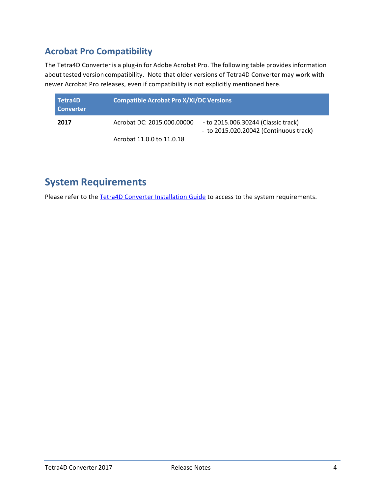#### <span id="page-3-0"></span>**Acrobat Pro Compatibility**

The Tetra4D Converter is a plug-in for Adobe Acrobat Pro. The following table provides information about tested version compatibility. Note that older versions of Tetra4D Converter may work with newer Acrobat Pro releases, even if compatibility is not explicitly mentioned here.

| Tetra4D<br><b>Converter</b> | <b>Compatible Acrobat Pro X/XI/DC Versions</b> |                                                                               |  |  |  |
|-----------------------------|------------------------------------------------|-------------------------------------------------------------------------------|--|--|--|
| 2017                        | Acrobat DC: 2015.000.00000                     | - to 2015.006.30244 (Classic track)<br>- to 2015.020.20042 (Continuous track) |  |  |  |
|                             | Acrobat 11.0.0 to 11.0.18                      |                                                                               |  |  |  |

# <span id="page-3-1"></span>**System Requirements**

Please refer to the [Tetra4D Converter Installation Guide](http://www.tetra4d.com/documentation/) to access to the system requirements.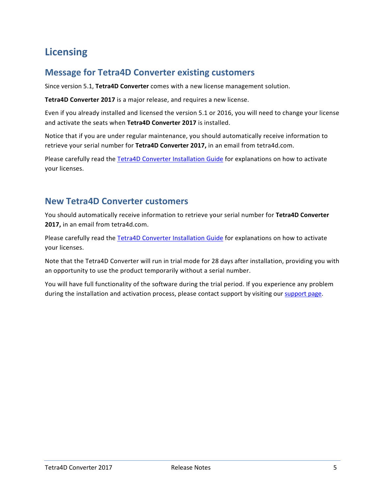# <span id="page-4-0"></span>**Licensing**

#### <span id="page-4-1"></span>**Message for Tetra4D Converter existing customers**

Since version 5.1, **Tetra4D Converter** comes with a new license management solution.

**Tetra4D Converter 2017** is a major release, and requires a new license.

Even if you already installed and licensed the version 5.1 or 2016, you will need to change your license and activate the seats when **Tetra4D Converter 2017** is installed.

Notice that if you are under regular maintenance, you should automatically receive information to retrieve your serial number for **Tetra4D Converter 2017,** in an email from tetra4d.com.

Please carefully read the [Tetra4D Converter Installation Guide](http://www.tetra4d.com/documentation/) for explanations on how to activate your licenses.

#### <span id="page-4-2"></span>**New Tetra4D Converter customers**

You should automatically receive information to retrieve your serial number for **Tetra4D Converter 2017,** in an email from tetra4d.com.

Please carefully read the [Tetra4D Converter Installation Guide](http://www.tetra4d.com/documentation/) for explanations on how to activate your licenses.

Note that the Tetra4D Converter will run in trial mode for 28 days after installation, providing you with an opportunity to use the product temporarily without a serial number.

You will have full functionality of the software during the trial period. If you experience any problem during the installation and activation process, please contact support by visiting our [support page.](http://www.tetra4d.com/support/)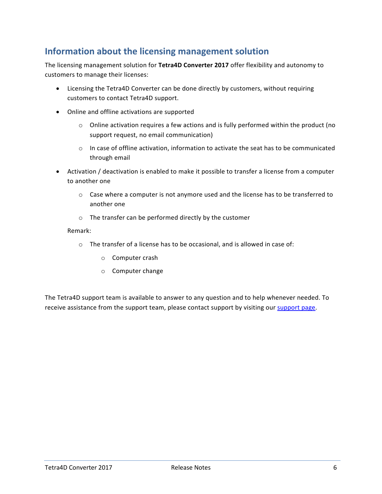#### <span id="page-5-0"></span>**Information about the licensing management solution**

The licensing management solution for **Tetra4D Converter 2017** offer flexibility and autonomy to customers to manage their licenses:

- Licensing the Tetra4D Converter can be done directly by customers, without requiring customers to contact Tetra4D support.
- Online and offline activations are supported
	- $\circ$  Online activation requires a few actions and is fully performed within the product (no support request, no email communication)
	- $\circ$  In case of offline activation, information to activate the seat has to be communicated through email
- Activation / deactivation is enabled to make it possible to transfer a license from a computer to another one
	- $\circ$  Case where a computer is not anymore used and the license has to be transferred to another one
	- o The transfer can be performed directly by the customer

#### Remark:

- o The transfer of a license has to be occasional, and is allowed in case of:
	- o Computer crash
	- o Computer change

The Tetra4D support team is available to answer to any question and to help whenever needed. To receive assistance from the support team, please contact support by visiting our [support page.](http://www.tetra4d.com/support/)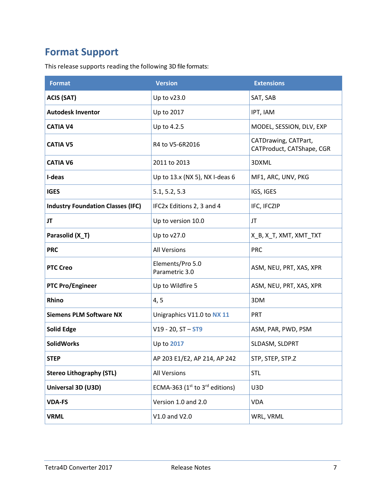# <span id="page-6-0"></span>**Format Support**

This release supports reading the following 3D file formats:

| <b>Format</b>                            | <b>Version</b>                      | <b>Extensions</b>                                 |  |
|------------------------------------------|-------------------------------------|---------------------------------------------------|--|
| <b>ACIS (SAT)</b>                        | Up to v23.0                         | SAT, SAB                                          |  |
| <b>Autodesk Inventor</b>                 | Up to 2017                          | IPT, IAM                                          |  |
| <b>CATIA V4</b>                          | Up to 4.2.5                         | MODEL, SESSION, DLV, EXP                          |  |
| <b>CATIA V5</b>                          | R4 to V5-6R2016                     | CATDrawing, CATPart,<br>CATProduct, CATShape, CGR |  |
| <b>CATIA V6</b>                          | 2011 to 2013                        | 3DXML                                             |  |
| I-deas                                   | Up to 13.x (NX 5), NX I-deas 6      | MF1, ARC, UNV, PKG                                |  |
| <b>IGES</b>                              | 5.1, 5.2, 5.3                       | IGS, IGES                                         |  |
| <b>Industry Foundation Classes (IFC)</b> | IFC2x Editions 2, 3 and 4           | IFC, IFCZIP                                       |  |
| JT                                       | Up to version 10.0                  | JT                                                |  |
| Parasolid (X_T)                          | Up to v27.0                         | X_B, X_T, XMT, XMT_TXT                            |  |
| <b>PRC</b>                               | <b>All Versions</b>                 | <b>PRC</b>                                        |  |
| <b>PTC Creo</b>                          | Elements/Pro 5.0<br>Parametric 3.0  | ASM, NEU, PRT, XAS, XPR                           |  |
| <b>PTC Pro/Engineer</b>                  | Up to Wildfire 5                    | ASM, NEU, PRT, XAS, XPR                           |  |
| Rhino                                    | 4, 5                                | 3DM                                               |  |
| <b>Siemens PLM Software NX</b>           | Unigraphics V11.0 to NX 11          | <b>PRT</b>                                        |  |
| <b>Solid Edge</b>                        | $V19 - 20$ , $ST - ST9$             | ASM, PAR, PWD, PSM                                |  |
| <b>SolidWorks</b>                        | Up to 2017                          | SLDASM, SLDPRT                                    |  |
| <b>STEP</b>                              | AP 203 E1/E2, AP 214, AP 242        | STP, STEP, STP.Z                                  |  |
| <b>Stereo Lithography (STL)</b>          | <b>All Versions</b>                 | <b>STL</b>                                        |  |
| Universal 3D (U3D)                       | ECMA-363 ( $1st$ to $3rd$ editions) | U3D                                               |  |
| <b>VDA-FS</b>                            | Version 1.0 and 2.0                 | <b>VDA</b>                                        |  |
| <b>VRML</b>                              | V1.0 and V2.0                       | WRL, VRML                                         |  |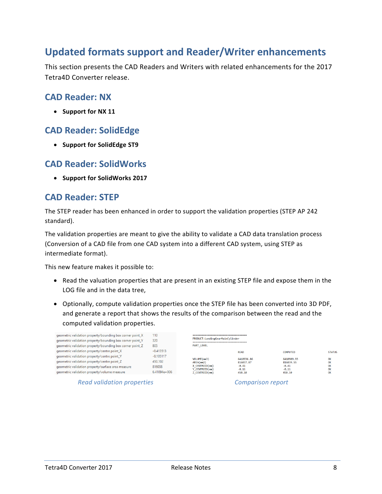### <span id="page-7-0"></span>**Updated formats support and Reader/Writer enhancements**

This section presents the CAD Readers and Writers with related enhancements for the 2017 Tetra4D Converter release.

#### <span id="page-7-1"></span>**CAD Reader: NX**

• **Support for NX 11**

#### <span id="page-7-2"></span>**CAD Reader: SolidEdge**

• **Support for SolidEdge ST9**

#### <span id="page-7-3"></span>**CAD Reader: SolidWorks**

• **Support for SolidWorks 2017**

#### <span id="page-7-4"></span>**CAD Reader: STEP**

The STEP reader has been enhanced in order to support the validation properties (STEP AP 242 standard).

The validation properties are meant to give the ability to validate a CAD data translation process (Conversion of a CAD file from one CAD system into a different CAD system, using STEP as intermediate format).

This new feature makes it possible to:

- Read the valuation properties that are present in an existing STEP file and expose them in the LOG file and in the data tree,
- Optionally, compute validation properties once the STEP file has been converted into 3D PDF, and generate a report that shows the results of the comparison between the read and the computed validation properties.

| geometric validation property/bounding box corner point_X<br>geometric validation property/bounding box corner point_Y<br>geometric validation property/bounding box corner point Z | 110<br>320<br>805                                  | -------------------------------<br>PRODUCT:LandingGearMainCylinder<br>------------------------------<br><b>PART LEVEL</b> |                                                         |                                                         |                            |
|-------------------------------------------------------------------------------------------------------------------------------------------------------------------------------------|----------------------------------------------------|---------------------------------------------------------------------------------------------------------------------------|---------------------------------------------------------|---------------------------------------------------------|----------------------------|
| geometric validation property/centre point X                                                                                                                                        | $-0.413513$                                        |                                                                                                                           | <b>READ</b>                                             | <b>COMPUTED</b>                                         | <b>STATUS</b>              |
| geometric validation property/centre point_Y                                                                                                                                        | $-0.105117$<br>VOLUME(mm3)<br>450,102<br>AREA(mm2) |                                                                                                                           | 6410936.86<br>816037.87<br>$-0.41$<br>$-0.11$<br>450.10 | 6410909.93<br>816039.55<br>$-0.41$<br>$-0.11$<br>450.10 | OK<br>OK<br>OK<br>OK<br>OK |
| geometric validation property/centre point Z                                                                                                                                        |                                                    |                                                                                                                           |                                                         |                                                         |                            |
| geometric validation property/surface area measure<br>geometric validation property/volume measure                                                                                  | 816038                                             | X CENTROID(mm)<br>Y CENTROID(mm)<br>Z CENTROID(mm)                                                                        |                                                         |                                                         |                            |
|                                                                                                                                                                                     | $6.41094e+006$                                     |                                                                                                                           |                                                         |                                                         |                            |

*Read validation properties Comparison report*